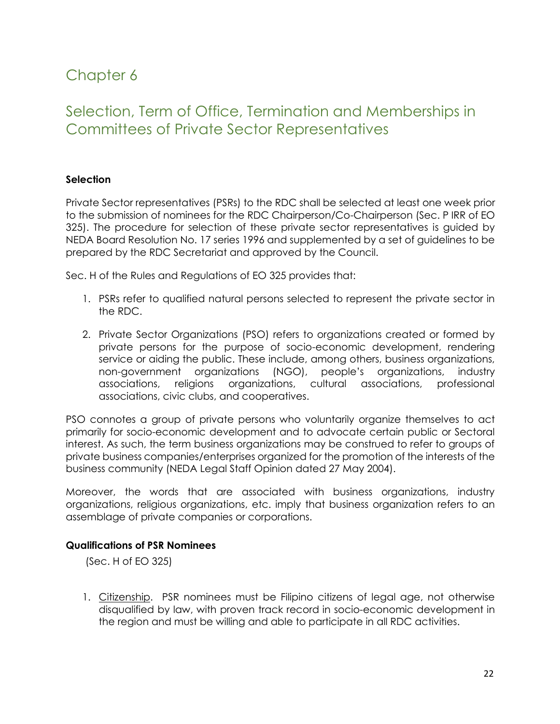# Chapter 6

## Selection, Term of Office, Termination and Memberships in Committees of Private Sector Representatives

## **Selection**

Private Sector representatives (PSRs) to the RDC shall be selected at least one week prior to the submission of nominees for the RDC Chairperson/Co-Chairperson (Sec. P IRR of EO 325). The procedure for selection of these private sector representatives is guided by NEDA Board Resolution No. 17 series 1996 and supplemented by a set of guidelines to be prepared by the RDC Secretariat and approved by the Council.

Sec. H of the Rules and Regulations of EO 325 provides that:

- 1. PSRs refer to qualified natural persons selected to represent the private sector in the RDC.
- 2. Private Sector Organizations (PSO) refers to organizations created or formed by private persons for the purpose of socio-economic development, rendering service or aiding the public. These include, among others, business organizations, non-government organizations (NGO), people's organizations, industry associations, religions organizations, cultural associations, professional associations, civic clubs, and cooperatives.

PSO connotes a group of private persons who voluntarily organize themselves to act primarily for socio-economic development and to advocate certain public or Sectoral interest. As such, the term business organizations may be construed to refer to groups of private business companies/enterprises organized for the promotion of the interests of the business community (NEDA Legal Staff Opinion dated 27 May 2004).

Moreover, the words that are associated with business organizations, industry organizations, religious organizations, etc. imply that business organization refers to an assemblage of private companies or corporations.

## **Qualifications of PSR Nominees**

(Sec. H of EO 325)

1. Citizenship. PSR nominees must be Filipino citizens of legal age, not otherwise disqualified by law, with proven track record in socio-economic development in the region and must be willing and able to participate in all RDC activities.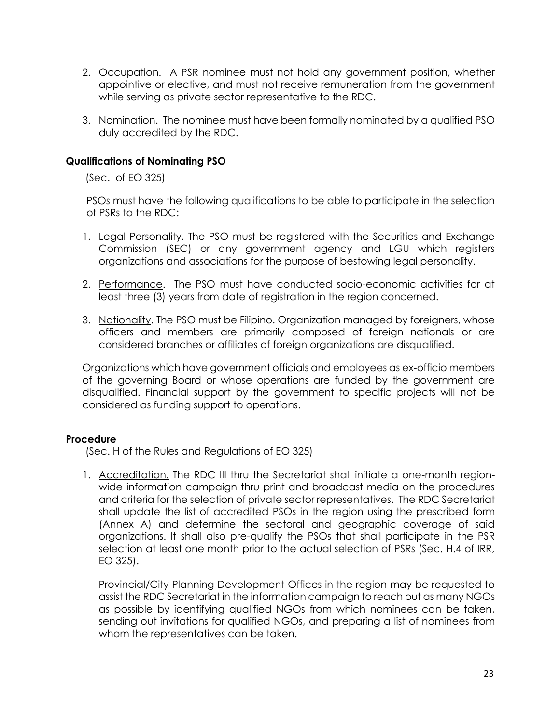- 2. Occupation. A PSR nominee must not hold any government position, whether appointive or elective, and must not receive remuneration from the government while serving as private sector representative to the RDC.
- 3. Nomination. The nominee must have been formally nominated by a qualified PSO duly accredited by the RDC.

## **Qualifications of Nominating PSO**

(Sec. of EO 325)

PSOs must have the following qualifications to be able to participate in the selection of PSRs to the RDC:

- 1. Legal Personality. The PSO must be registered with the Securities and Exchange Commission (SEC) or any government agency and LGU which registers organizations and associations for the purpose of bestowing legal personality.
- 2. Performance. The PSO must have conducted socio-economic activities for at least three (3) years from date of registration in the region concerned.
- 3. Nationality. The PSO must be Filipino. Organization managed by foreigners, whose officers and members are primarily composed of foreign nationals or are considered branches or affiliates of foreign organizations are disqualified.

Organizations which have government officials and employees as ex-officio members of the governing Board or whose operations are funded by the government are disqualified. Financial support by the government to specific projects will not be considered as funding support to operations.

## **Procedure**

(Sec. H of the Rules and Regulations of EO 325)

1. Accreditation. The RDC III thru the Secretariat shall initiate a one-month regionwide information campaign thru print and broadcast media on the procedures and criteria for the selection of private sector representatives. The RDC Secretariat shall update the list of accredited PSOs in the region using the prescribed form (Annex A) and determine the sectoral and geographic coverage of said organizations. It shall also pre-qualify the PSOs that shall participate in the PSR selection at least one month prior to the actual selection of PSRs (Sec. H.4 of IRR, EO 325).

Provincial/City Planning Development Offices in the region may be requested to assist the RDC Secretariat in the information campaign to reach out as many NGOs as possible by identifying qualified NGOs from which nominees can be taken, sending out invitations for qualified NGOs, and preparing a list of nominees from whom the representatives can be taken.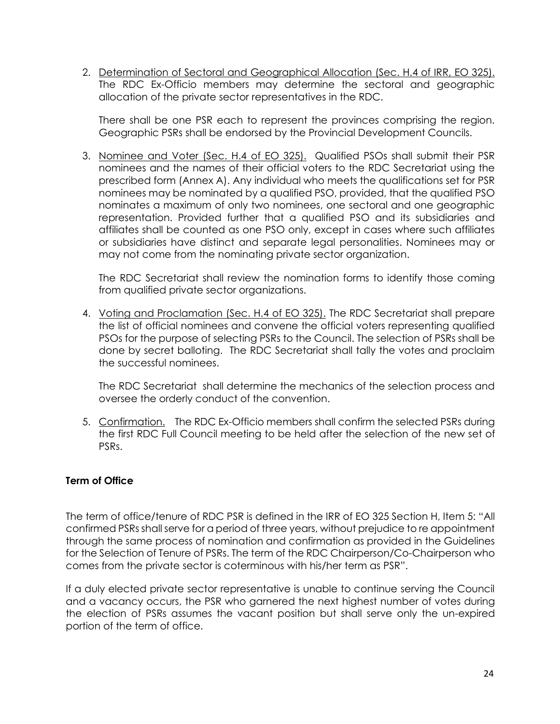2. Determination of Sectoral and Geographical Allocation (Sec. H.4 of IRR, EO 325). The RDC Ex-Officio members may determine the sectoral and geographic allocation of the private sector representatives in the RDC.

There shall be one PSR each to represent the provinces comprising the region. Geographic PSRs shall be endorsed by the Provincial Development Councils.

3. Nominee and Voter (Sec. H.4 of EO 325). Qualified PSOs shall submit their PSR nominees and the names of their official voters to the RDC Secretariat using the prescribed form (Annex A). Any individual who meets the qualifications set for PSR nominees may be nominated by a qualified PSO, provided, that the qualified PSO nominates a maximum of only two nominees, one sectoral and one geographic representation. Provided further that a qualified PSO and its subsidiaries and affiliates shall be counted as one PSO only, except in cases where such affiliates or subsidiaries have distinct and separate legal personalities. Nominees may or may not come from the nominating private sector organization.

The RDC Secretariat shall review the nomination forms to identify those coming from qualified private sector organizations.

4. Voting and Proclamation (Sec. H.4 of EO 325). The RDC Secretariat shall prepare the list of official nominees and convene the official voters representing qualified PSOs for the purpose of selecting PSRs to the Council. The selection of PSRs shall be done by secret balloting. The RDC Secretariat shall tally the votes and proclaim the successful nominees.

The RDC Secretariat shall determine the mechanics of the selection process and oversee the orderly conduct of the convention.

5. Confirmation. The RDC Ex-Officio members shall confirm the selected PSRs during the first RDC Full Council meeting to be held after the selection of the new set of PSRs.

## **Term of Office**

The term of office/tenure of RDC PSR is defined in the IRR of EO 325 Section H, Item 5: "All confirmed PSRs shall serve for a period of three years, without prejudice to re appointment through the same process of nomination and confirmation as provided in the Guidelines for the Selection of Tenure of PSRs. The term of the RDC Chairperson/Co-Chairperson who comes from the private sector is coterminous with his/her term as PSR".

If a duly elected private sector representative is unable to continue serving the Council and a vacancy occurs, the PSR who garnered the next highest number of votes during the election of PSRs assumes the vacant position but shall serve only the un-expired portion of the term of office.